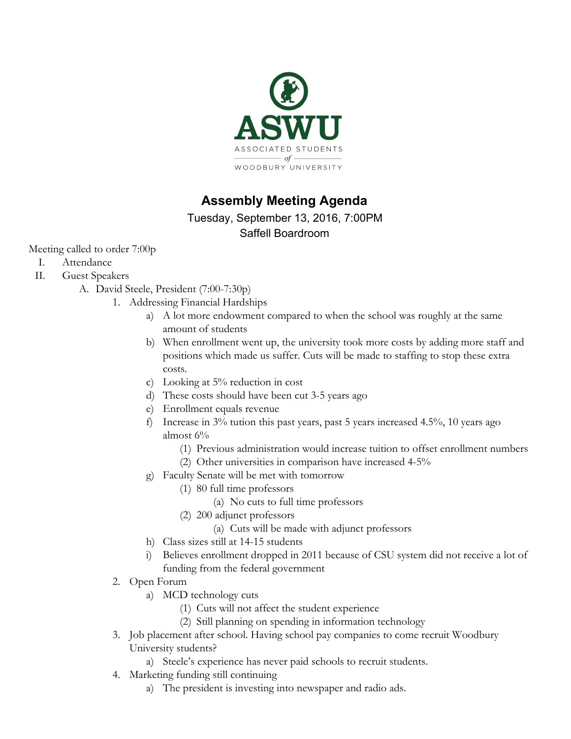

# **Assembly Meeting Agenda**

Tuesday, September 13, 2016, 7:00PM Saffell Boardroom

Meeting called to order 7:00p

- I. Attendance
- II. Guest Speakers
	- A. David Steele, President (7:00-7:30p)
		- 1. Addressing Financial Hardships
			- a) A lot more endowment compared to when the school was roughly at the same amount of students
			- b) When enrollment went up, the university took more costs by adding more staff and positions which made us suffer. Cuts will be made to staffing to stop these extra costs.
			- c) Looking at 5% reduction in cost
			- d) These costs should have been cut 3-5 years ago
			- e) Enrollment equals revenue
			- f) Increase in 3% tution this past years, past 5 years increased 4.5%, 10 years ago almost 6%
				- (1) Previous administration would increase tuition to offset enrollment numbers
				- (2) Other universities in comparison have increased 4-5%
			- g) Faculty Senate will be met with tomorrow
				- (1) 80 full time professors
					- (a) No cuts to full time professors
					- (2) 200 adjunct professors
						- (a) Cuts will be made with adjunct professors
			- h) Class sizes still at 14-15 students
			- i) Believes enrollment dropped in 2011 because of CSU system did not receive a lot of funding from the federal government
		- 2. Open Forum
			- a) MCD technology cuts
				- (1) Cuts will not affect the student experience
				- (2) Still planning on spending in information technology
		- 3. Job placement after school. Having school pay companies to come recruit Woodbury University students?
			- a) Steele's experience has never paid schools to recruit students.
		- 4. Marketing funding still continuing
			- a) The president is investing into newspaper and radio ads.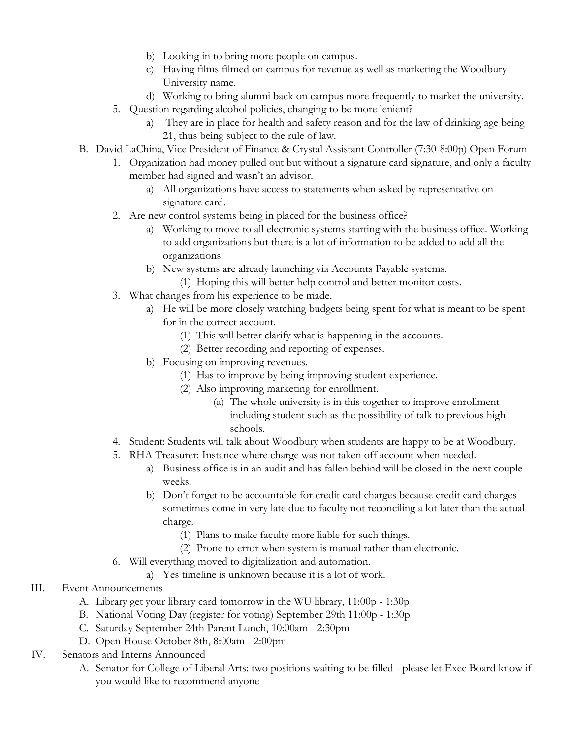- b) Looking in to bring more people on campus.
- c) Having films filmed on campus for revenue as well as marketing the Woodbury University name.
- d) Working to bring alumni back on campus more frequently to market the university.
- 5. Question regarding alcohol policies, changing to be more lenient?
	- a) They are in place for health and safety reason and for the law of drinking age being 21, thus being subject to the rule of law.
- B. David LaChina, Vice President of Finance & Crystal Assistant Controller (7:30-8:00p) Open Forum
	- 1. Organization had money pulled out but without a signature card signature, and only a faculty member had signed and wasn't an advisor.
		- a) All organizations have access to statements when asked by representative on signature card.
	- 2. Are new control systems being in placed for the business office?
		- a) Working to move to all electronic systems starting with the business office. Working to add organizations but there is a lot of information to be added to add all the organizations.
		- b) New systems are already launching via Accounts Payable systems.
			- (1) Hoping this will better help control and better monitor costs.
	- 3. What changes from his experience to be made.
		- a) He will be more closely watching budgets being spent for what is meant to be spent for in the correct account.
			- (1) This will better clarify what is happening in the accounts.
			- (2) Better recording and reporting of expenses.
		- b) Focusing on improving revenues.
			- (1) Has to improve by being improving student experience.
			- (2) Also improving marketing for enrollment.
				- (a) The whole university is in this together to improve enrollment including student such as the possibility of talk to previous high schools.
	- 4. Student: Students will talk about Woodbury when students are happy to be at Woodbury.
	- 5. RHA Treasurer: Instance where charge was not taken off account when needed.
		- a) Business office is in an audit and has fallen behind will be closed in the next couple weeks.
		- b) Don't forget to be accountable for credit card charges because credit card charges sometimes come in very late due to faculty not reconciling a lot later than the actual charge.
			- (1) Plans to make faculty more liable for such things.
			- (2) Prone to error when system is manual rather than electronic.
	- 6. Will everything moved to digitalization and automation.
		- a) Yes timeline is unknown because it is a lot of work.
- III. Event Announcements
	- A. Library get your library card tomorrow in the WU library, 11:00p 1:30p
	- B. National Voting Day (register for voting) September 29th 11:00p 1:30p
	- C. Saturday September 24th Parent Lunch, 10:00am 2:30pm
	- D. Open House October 8th, 8:00am 2:00pm
- IV. Senators and Interns Announced
	- A. Senator for College of Liberal Arts: two positions waiting to be filled please let Exec Board know if you would like to recommend anyone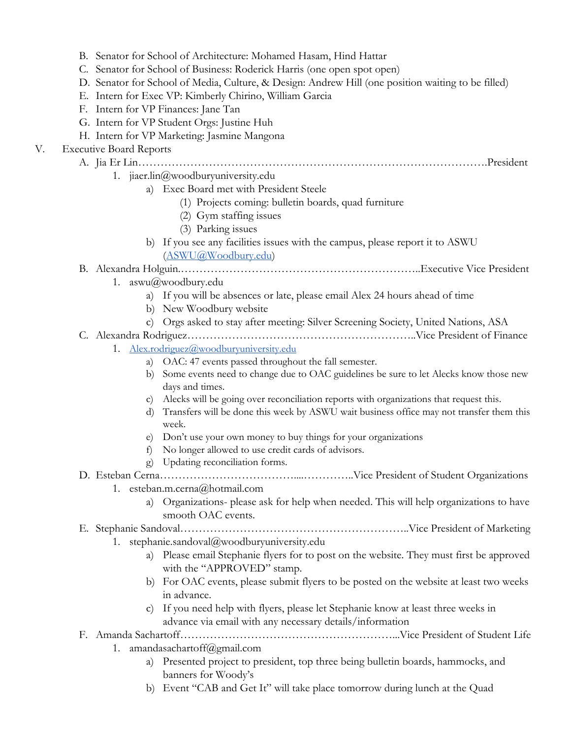- B. Senator for School of Architecture: Mohamed Hasam, Hind Hattar
- C. Senator for School of Business: Roderick Harris (one open spot open)
- D. Senator for School of Media, Culture, & Design: Andrew Hill (one position waiting to be filled)
- E. Intern for Exec VP: Kimberly Chirino, William Garcia
- F. Intern for VP Finances: Jane Tan
- G. Intern for VP Student Orgs: Justine Huh
- H. Intern for VP Marketing: Jasmine Mangona

# V. Executive Board Reports

## A. Jia Er Lin………………………………………………………………………………….President

- 1. [jiaer.lin@woodburyuniversity.edu](mailto:jiaer.lin@woodburyuniversity.edu)
	- a) Exec Board met with President Steele
		- (1) Projects coming: bulletin boards, quad furniture
		- (2) Gym staffing issues
		- (3) Parking issues
	- b) If you see any facilities issues with the campus, please report it to ASWU [\(ASWU@Woodbury.edu\)](mailto:ASWU@Woodbury.edu)

# B. Alexandra Holguin.………………………………………………………..Executive Vice President

- 1. [aswu@woodbury.edu](mailto:aswu@woodbury.edu)
	- a) If you will be absences or late, please email Alex 24 hours ahead of time
	- b) New Woodbury website
	- c) Orgs asked to stay after meeting: Silver Screening Society, United Nations, ASA
- C. Alexandra Rodriguez……………………………………………………..Vice President of Finance
	- 1. [Alex.rodriguez@woodburyuniversity.edu](mailto:Alex.rodriguez@woodburyuniversity.edu)
		- a) OAC: 47 events passed throughout the fall semester.
		- b) Some events need to change due to OAC guidelines be sure to let Alecks know those new days and times.
		- c) Alecks will be going over reconciliation reports with organizations that request this.
		- d) Transfers will be done this week by ASWU wait business office may not transfer them this week.
		- e) Don't use your own money to buy things for your organizations
		- f) No longer allowed to use credit cards of advisors.
		- g) Updating reconciliation forms.
- D. Esteban Cerna………………………………....…………..Vice President of Student Organizations 1. [esteban.m.cerna@hotmail.com](mailto:esteban.m.cerna@hotmail.com)
	- a) Organizations- please ask for help when needed. This will help organizations to have smooth OAC events.

## E. Stephanie Sandoval……………………………………………………..Vice President of Marketing

- 1. [stephanie.sandoval@woodburyuniversity.edu](mailto:stephanie.sandoval@woodburyuniversity.edu)
	- a) Please email Stephanie flyers for to post on the website. They must first be approved with the "APPROVED" stamp.
	- b) For OAC events, please submit flyers to be posted on the website at least two weeks in advance.
	- c) If you need help with flyers, please let Stephanie know at least three weeks in advance via email with any necessary details/information

## F. Amanda Sachartoff…………………………………………………...Vice President of Student Life

- 1. [amandasachartoff@gmail.com](mailto:amandasachartoff@gmail.com)
	- a) Presented project to president, top three being bulletin boards, hammocks, and banners for Woody's
	- b) Event "CAB and Get It" will take place tomorrow during lunch at the Quad